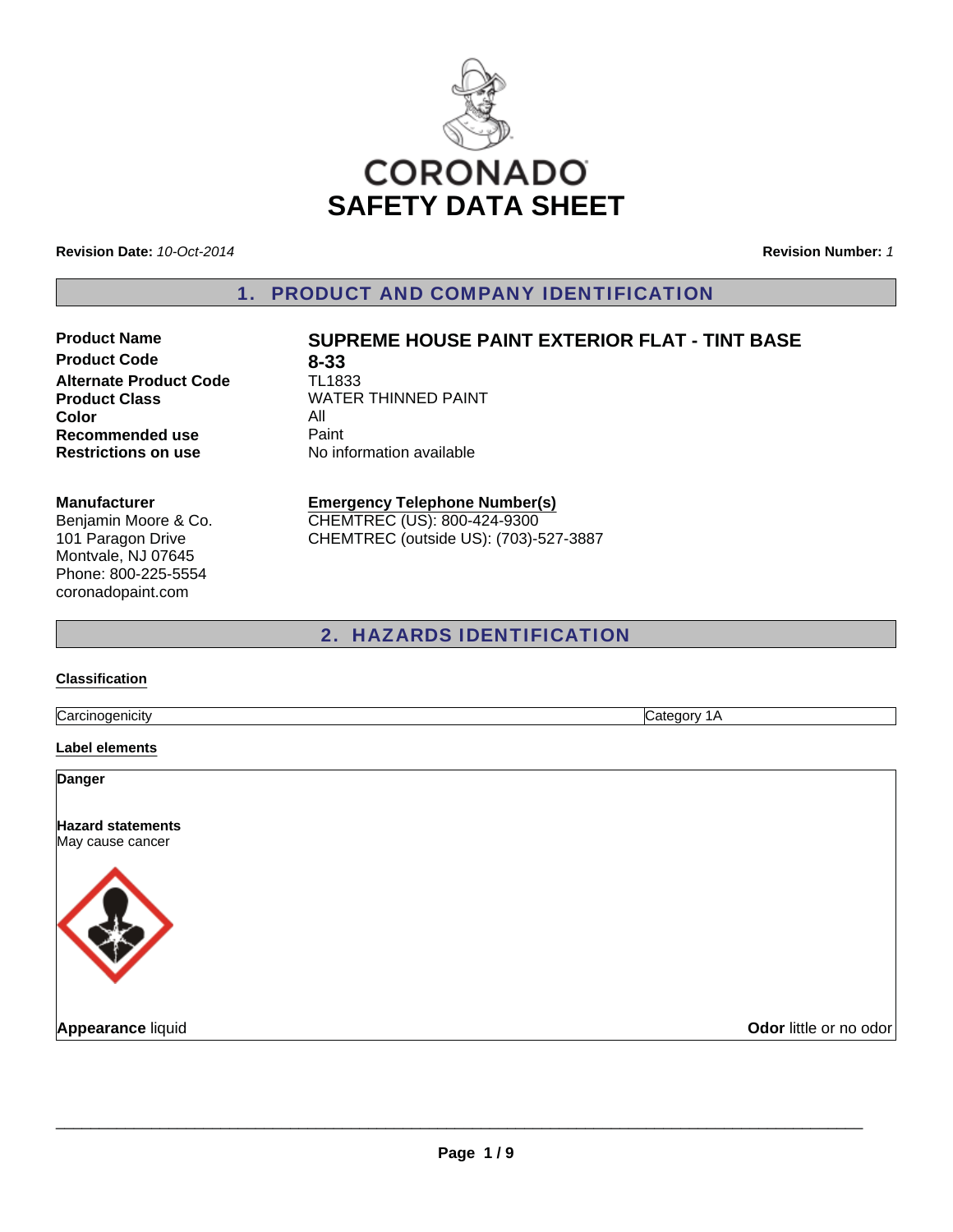

**Revision Date:** *10-Oct-2014*

**Revision Number:** *1*

1. PRODUCT AND COMPANY IDENTIFICATION

**Product Code 8-33**<br> **Alternate Product Code 1L1833 Alternate Product Code Color** All **Recommended use Paint Restrictions on use** No information available

## **Product Name SUPREME HOUSE PAINT EXTERIOR FLAT - TINT BASE**

**Product Class WATER THINNED PAINT** 

#### **Manufacturer**

Benjamin Moore & Co. 101 Paragon Drive Montvale, NJ 07645 Phone: 800-225-5554 coronadopaint.com

#### **Emergency Telephone Number(s)** CHEMTREC (US): 800-424-9300

CHEMTREC (outside US): (703)-527-3887

### 2. HAZARDS IDENTIFICATION

#### **Classification**

Carcinogenicity Category 1A

**Label elements**

**Danger**

**Hazard statements** May cause cancer



**Appearance** liquid **COVID-100 COVID-100 COVID-100 COVID-100 COVID-100 COVID-100 COVID-100 COVID-100 COVID-100 COVID-100 COVID-100 COVID-100 COVID-100 COVID-100 COVID-100 COVID-100 COVID-100 COVID-100 COVID-100 COVID-100 C**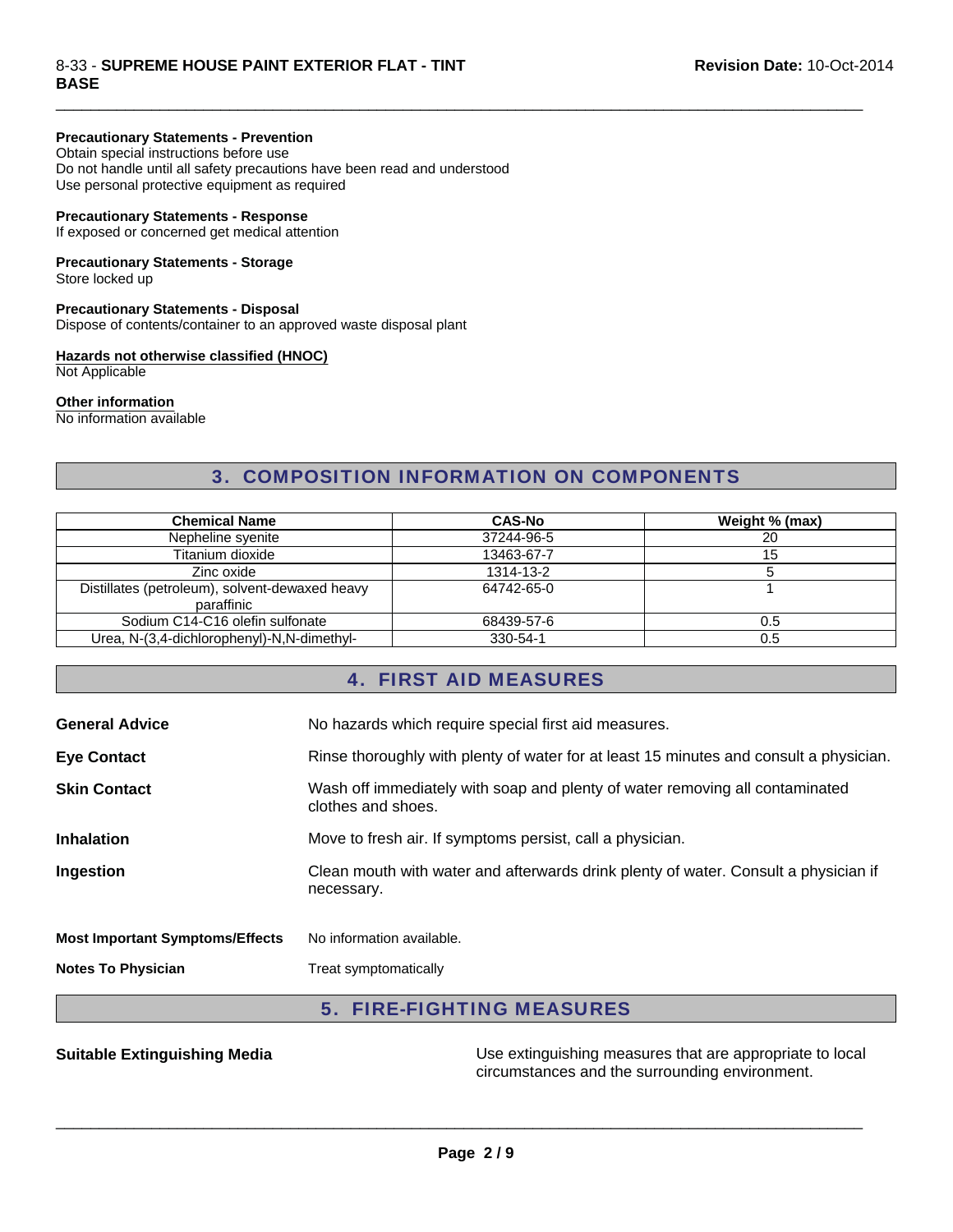#### 8-33 - **SUPREME HOUSE PAINT EXTERIOR FLAT - TINT BASE**

#### **Precautionary Statements - Prevention**

Obtain special instructions before use Do not handle until all safety precautions have been read and understood Use personal protective equipment as required

#### **Precautionary Statements - Response**

If exposed or concerned get medical attention

### **Precautionary Statements - Storage**

Store locked up

#### **Precautionary Statements - Disposal**

Dispose of contents/container to an approved waste disposal plant

#### **Hazards not otherwise classified (HNOC)**

Not Applicable

#### **Other information**

No information available

### 3. COMPOSITION INFORMATION ON COMPONENTS

 $\Box$ 

| <b>Chemical Name</b>                           | <b>CAS-No</b> | Weight % (max) |
|------------------------------------------------|---------------|----------------|
| Nepheline syenite                              | 37244-96-5    | 20             |
| Titanium dioxide                               | 13463-67-7    | 15             |
| Zinc oxide                                     | 1314-13-2     |                |
| Distillates (petroleum), solvent-dewaxed heavy | 64742-65-0    |                |
| paraffinic                                     |               |                |
| Sodium C14-C16 olefin sulfonate                | 68439-57-6    | 0.5            |
| Urea, N-(3,4-dichlorophenyl)-N,N-dimethyl-     | 330-54-1      | 0.5            |

### 4. FIRST AID MEASURES

| <b>General Advice</b>                  | No hazards which require special first aid measures.                                               |
|----------------------------------------|----------------------------------------------------------------------------------------------------|
| <b>Eye Contact</b>                     | Rinse thoroughly with plenty of water for at least 15 minutes and consult a physician.             |
| <b>Skin Contact</b>                    | Wash off immediately with soap and plenty of water removing all contaminated<br>clothes and shoes. |
| <b>Inhalation</b>                      | Move to fresh air. If symptoms persist, call a physician.                                          |
| Ingestion                              | Clean mouth with water and afterwards drink plenty of water. Consult a physician if<br>necessary.  |
| <b>Most Important Symptoms/Effects</b> | No information available.                                                                          |
| <b>Notes To Physician</b>              | Treat symptomatically                                                                              |

### 5. FIRE-FIGHTING MEASURES

**Suitable Extinguishing Media** Media Use extinguishing measures that are appropriate to local circumstances and the surrounding environment.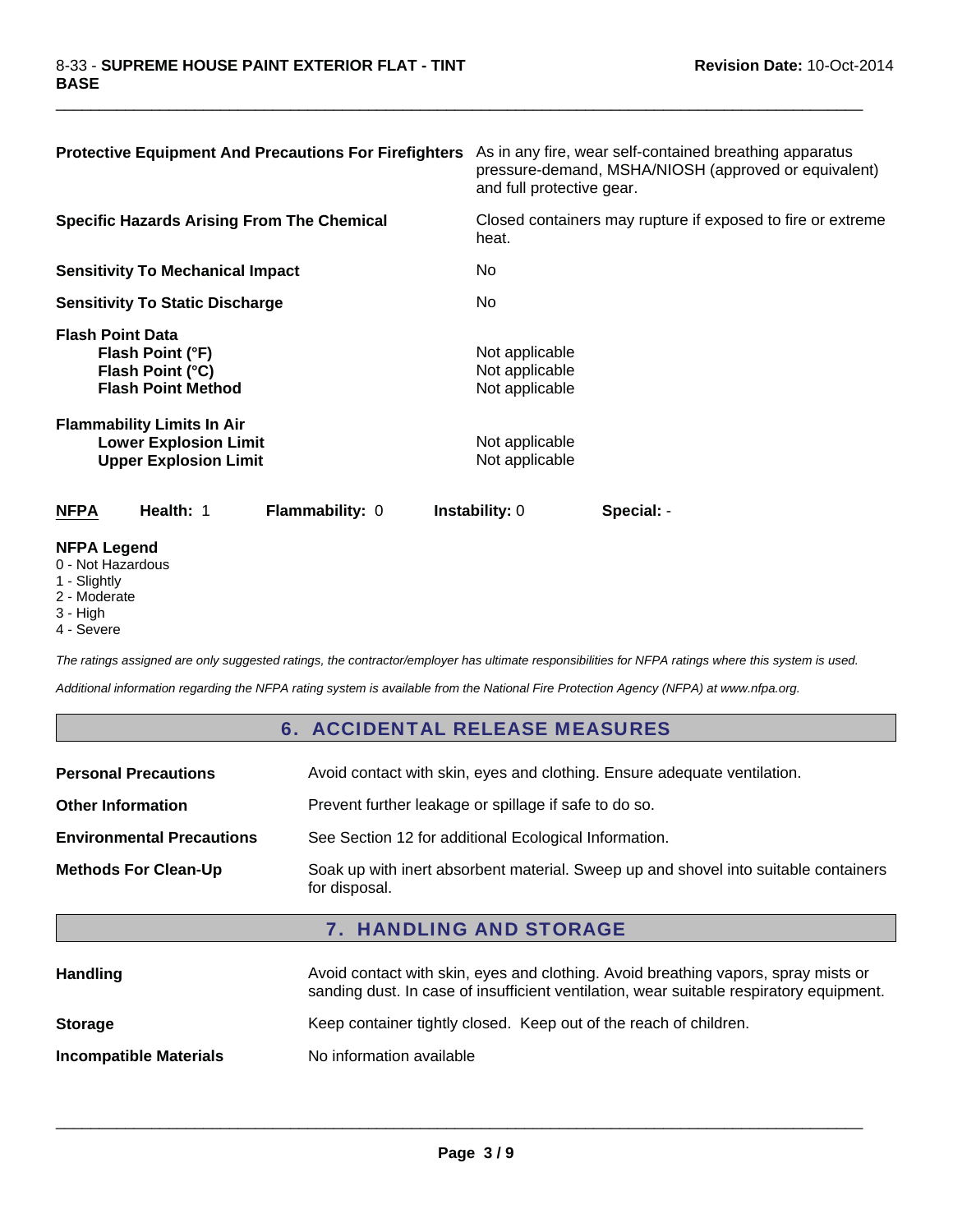| <b>Protective Equipment And Precautions For Firefighters</b>                                      | As in any fire, wear self-contained breathing apparatus<br>pressure-demand, MSHA/NIOSH (approved or equivalent)<br>and full protective gear. |
|---------------------------------------------------------------------------------------------------|----------------------------------------------------------------------------------------------------------------------------------------------|
| <b>Specific Hazards Arising From The Chemical</b>                                                 | Closed containers may rupture if exposed to fire or extreme<br>heat.                                                                         |
| <b>Sensitivity To Mechanical Impact</b>                                                           | No.                                                                                                                                          |
| <b>Sensitivity To Static Discharge</b>                                                            | No.                                                                                                                                          |
| <b>Flash Point Data</b><br>Flash Point (°F)<br>Flash Point (°C)<br><b>Flash Point Method</b>      | Not applicable<br>Not applicable<br>Not applicable                                                                                           |
| <b>Flammability Limits In Air</b><br><b>Lower Explosion Limit</b><br><b>Upper Explosion Limit</b> | Not applicable<br>Not applicable                                                                                                             |
| Health: 1<br><b>NFPA</b><br><b>Flammability: 0</b>                                                | <b>Instability: 0</b><br>Special: -                                                                                                          |

 $\Box$ 

#### **NFPA Legend**

0 - Not Hazardous

- 1 Slightly
- 2 Moderate
- 3 High
- 4 Severe

*The ratings assigned are only suggested ratings, the contractor/employer has ultimate responsibilities for NFPA ratings where this system is used.*

*Additional information regarding the NFPA rating system is available from the National Fire Protection Agency (NFPA) at www.nfpa.org.*

### 6. ACCIDENTAL RELEASE MEASURES

| <b>Personal Precautions</b>      | Avoid contact with skin, eyes and clothing. Ensure adequate ventilation.                             |
|----------------------------------|------------------------------------------------------------------------------------------------------|
| <b>Other Information</b>         | Prevent further leakage or spillage if safe to do so.                                                |
| <b>Environmental Precautions</b> | See Section 12 for additional Ecological Information.                                                |
| <b>Methods For Clean-Up</b>      | Soak up with inert absorbent material. Sweep up and shovel into suitable containers<br>for disposal. |

### 7. HANDLING AND STORAGE

| <b>Handling</b>               | Avoid contact with skin, eyes and clothing. Avoid breathing vapors, spray mists or<br>sanding dust. In case of insufficient ventilation, wear suitable respiratory equipment. |
|-------------------------------|-------------------------------------------------------------------------------------------------------------------------------------------------------------------------------|
| <b>Storage</b>                | Keep container tightly closed. Keep out of the reach of children.                                                                                                             |
| <b>Incompatible Materials</b> | No information available                                                                                                                                                      |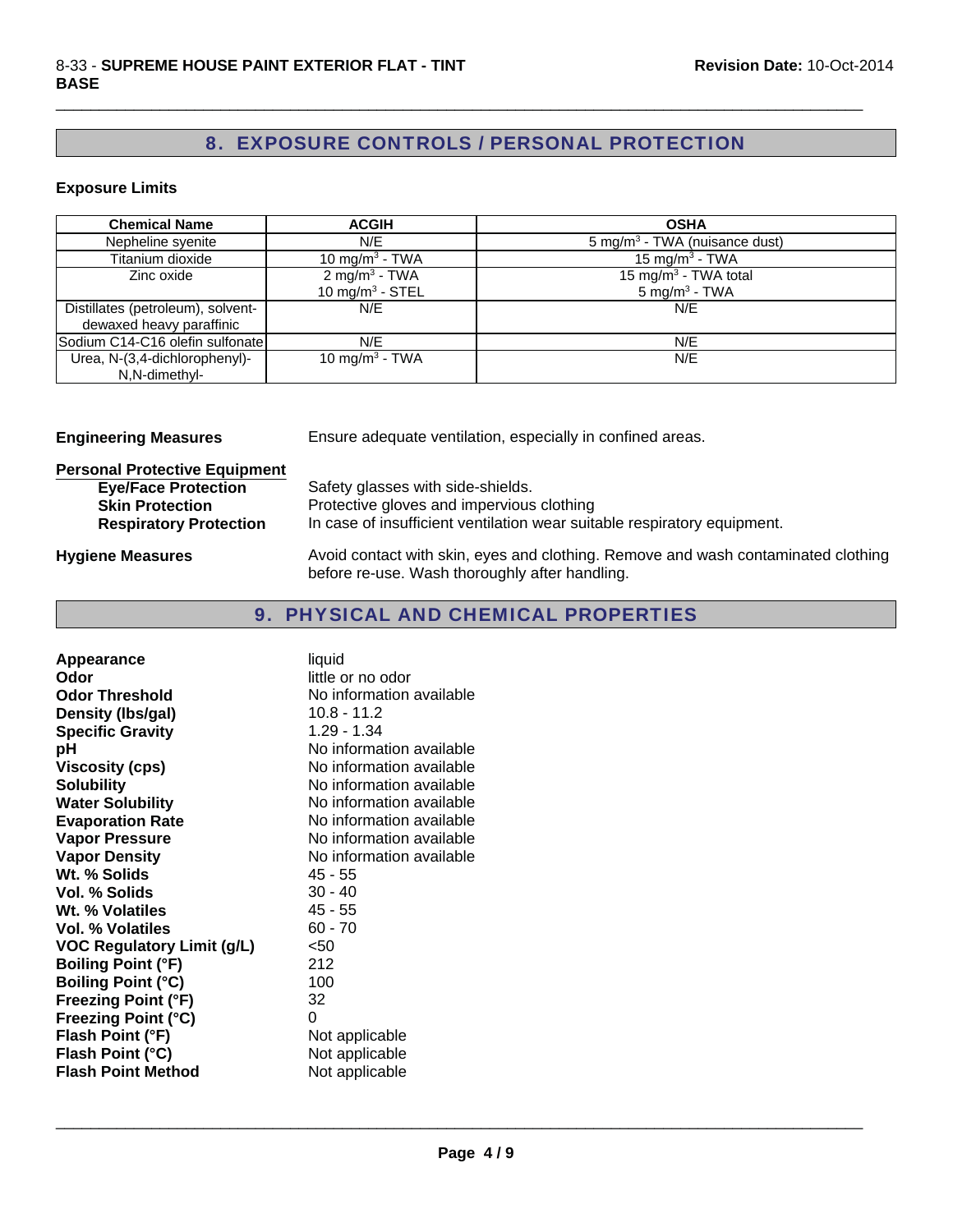## 8. EXPOSURE CONTROLS / PERSONAL PROTECTION

 $\Box$ 

#### **Exposure Limits**

| <b>Chemical Name</b>              | <b>ACGIH</b>                | <b>OSHA</b>                               |
|-----------------------------------|-----------------------------|-------------------------------------------|
| Nepheline syenite                 | N/E                         | 5 mg/m <sup>3</sup> - TWA (nuisance dust) |
| Titanium dioxide                  | 10 mg/m <sup>3</sup> - TWA  | 15 mg/m <sup>3</sup> - TWA                |
| Zinc oxide                        | $2$ mg/m <sup>3</sup> - TWA | 15 mg/m <sup>3</sup> - TWA total          |
|                                   | 10 mg/m <sup>3</sup> - STEL | $5 \text{ mg/m}^3$ - TWA                  |
| Distillates (petroleum), solvent- | N/E                         | N/F                                       |
| dewaxed heavy paraffinic          |                             |                                           |
| Sodium C14-C16 olefin sulfonate   | N/E                         | N/E                                       |
| Urea, N-(3,4-dichlorophenyl)-     | 10 mg/m <sup>3</sup> - TWA  | N/E                                       |
| N,N-dimethyl-                     |                             |                                           |

**Engineering Measures** Ensure adequate ventilation, especially in confined areas.

# **Personal Protective Equipment**

| <b>Eye/Face Protection</b>    | Safety glasses with side-shields.                                        |
|-------------------------------|--------------------------------------------------------------------------|
| <b>Skin Protection</b>        | Protective gloves and impervious clothing                                |
| <b>Respiratory Protection</b> | In case of insufficient ventilation wear suitable respiratory equipment. |
|                               |                                                                          |

Hygiene Measures **Avoid contact with skin, eyes and clothing. Remove and wash contaminated clothing** before re-use. Wash thoroughly after handling.

### 9. PHYSICAL AND CHEMICAL PROPERTIES

| Appearance                        | liquid                   |
|-----------------------------------|--------------------------|
| Odor                              | little or no odor        |
| <b>Odor Threshold</b>             | No information available |
| Density (Ibs/gal)                 | $10.8 - 11.2$            |
| <b>Specific Gravity</b>           | 1.29 - 1.34              |
| рH                                | No information available |
| <b>Viscosity (cps)</b>            | No information available |
| <b>Solubility</b>                 | No information available |
| <b>Water Solubility</b>           | No information available |
| <b>Evaporation Rate</b>           | No information available |
| <b>Vapor Pressure</b>             | No information available |
| <b>Vapor Density</b>              | No information available |
| Wt. % Solids                      | 45 - 55                  |
| <b>Vol. % Solids</b>              | $30 - 40$                |
| Wt. % Volatiles                   | 45 - 55                  |
| <b>Vol. % Volatiles</b>           | $60 - 70$                |
| <b>VOC Regulatory Limit (g/L)</b> | $50$                     |
| <b>Boiling Point (°F)</b>         | 212                      |
| <b>Boiling Point (°C)</b>         | 100                      |
| <b>Freezing Point (°F)</b>        | 32                       |
| <b>Freezing Point (°C)</b>        | 0                        |
| Flash Point (°F)                  | Not applicable           |
| Flash Point (°C)                  | Not applicable           |
| <b>Flash Point Method</b>         | Not applicable           |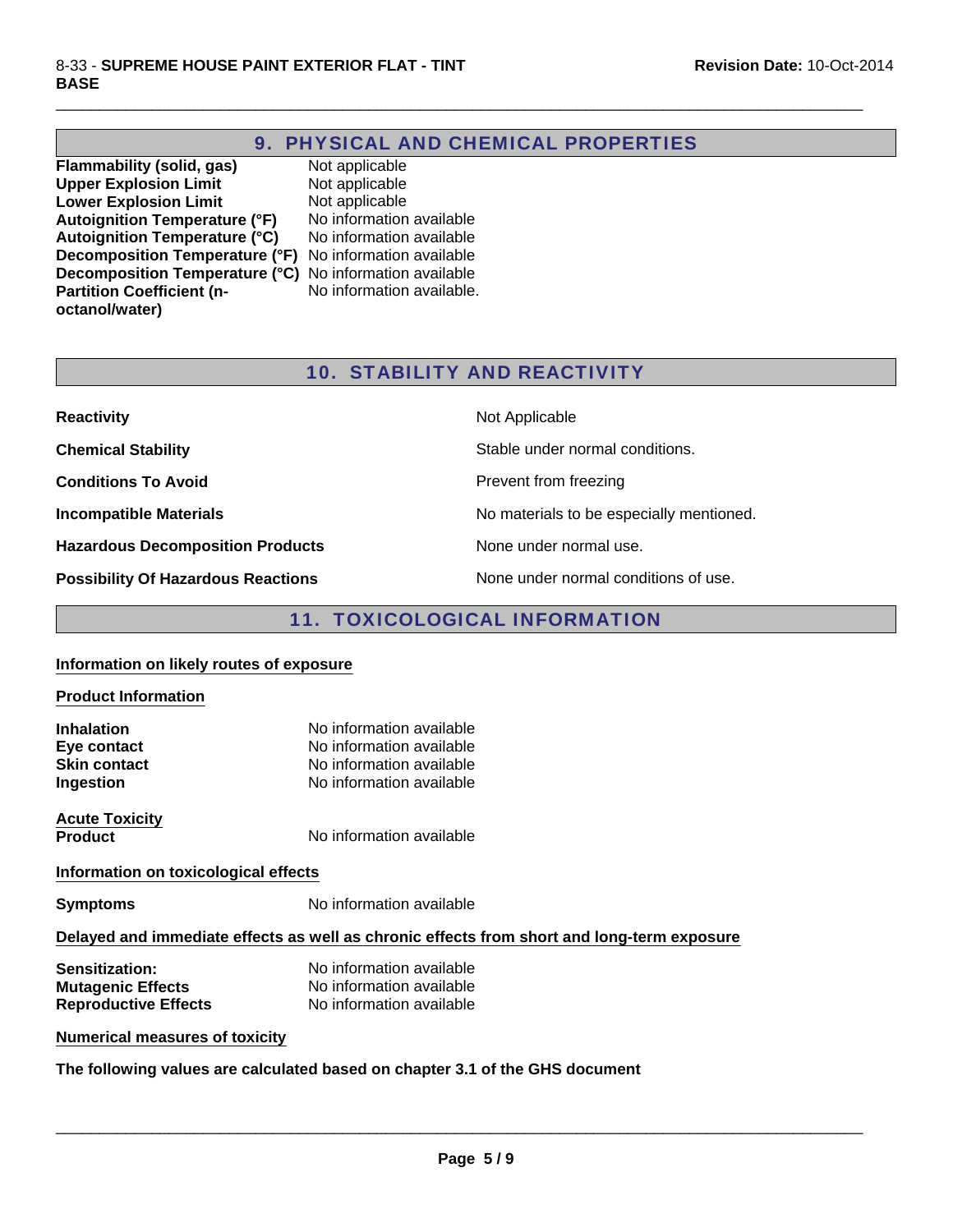### 9. PHYSICAL AND CHEMICAL PROPERTIES

 $\Box$ 

**Flammability (solid, gas)** Not applicable<br> **Upper Explosion Limit** Not applicable **Upper Explosion Limit Lower Explosion Limit** Not applicable **Autoignition Temperature (°F)** No information available **Autoignition Temperature (°C)** No information available **Decomposition Temperature (°F)** No information available **Decomposition Temperature (°C)** No information available **Partition Coefficient (noctanol/water)**

No information available.

### 10. STABILITY AND REACTIVITY

| <b>Reactivity</b>                         | Not Applicable                           |
|-------------------------------------------|------------------------------------------|
| <b>Chemical Stability</b>                 | Stable under normal conditions.          |
| <b>Conditions To Avoid</b>                | Prevent from freezing                    |
| <b>Incompatible Materials</b>             | No materials to be especially mentioned. |
| <b>Hazardous Decomposition Products</b>   | None under normal use.                   |
| <b>Possibility Of Hazardous Reactions</b> | None under normal conditions of use.     |

### 11. TOXICOLOGICAL INFORMATION

#### **Information on likely routes of exposure**

# **Product Information Inhalation** No information available **Eve contact** No information available **Skin contact** No information available **Ingestion** No information available **Acute Toxicity Product** No information available **Information on toxicological effects Symptoms** No information available

### **Delayed and immediate effects as well as chronic effects from short and long-term exposure**

| <b>Sensitization:</b>       | No information available |
|-----------------------------|--------------------------|
| <b>Mutagenic Effects</b>    | No information available |
| <b>Reproductive Effects</b> | No information available |

#### **Numerical measures of toxicity**

**The following values are calculated based on chapter 3.1 of the GHS document**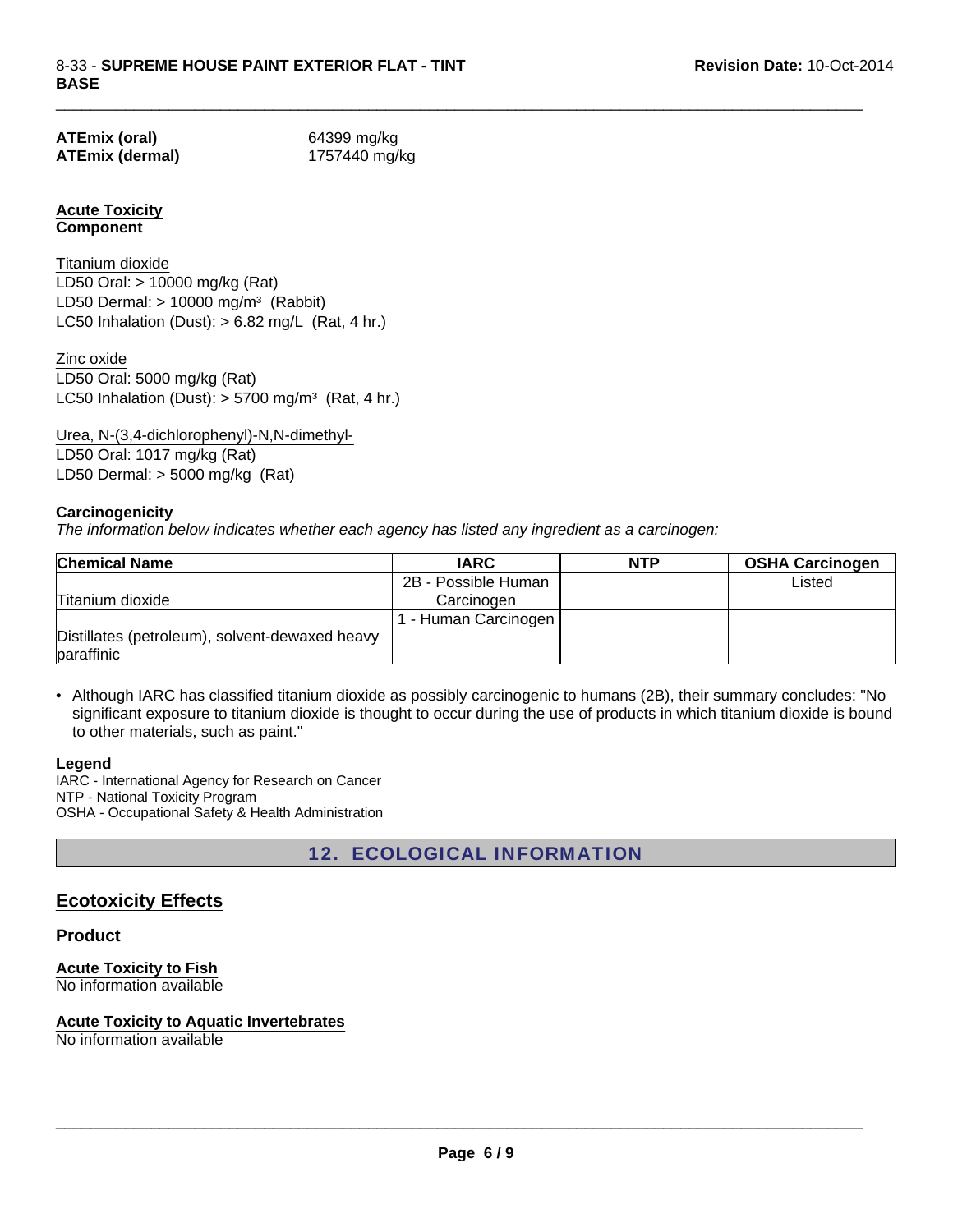**ATEmix (oral)** 64399 mg/kg **ATEmix (dermal)** 1757440 mg/kg

 $\Box$ 

### **Acute Toxicity Component**

LD50 Dermal:  $> 10000$  mg/m<sup>3</sup> (Rabbit) Titanium dioxide LC50 Inhalation (Dust):  $> 6.82$  mg/L (Rat, 4 hr.) LD50 Oral: > 10000 mg/kg (Rat)

LC50 Inhalation (Dust):  $> 5700$  mg/m<sup>3</sup> (Rat, 4 hr.) Zinc oxide LD50 Oral: 5000 mg/kg (Rat)

Urea, N-(3,4-dichlorophenyl)-N,N-dimethyl-LD50 Oral: 1017 mg/kg (Rat) LD50 Dermal: > 5000 mg/kg (Rat)

### **Carcinogenicity**

*The information below indicates whether each agency has listed any ingredient as a carcinogen:*

| <b>Chemical Name</b>                                         | <b>IARC</b>         | <b>NTP</b> | <b>OSHA Carcinogen</b> |
|--------------------------------------------------------------|---------------------|------------|------------------------|
|                                                              | 2B - Possible Human |            | Listed                 |
| Titanium dioxide                                             | Carcinogen          |            |                        |
|                                                              | - Human Carcinogen  |            |                        |
| Distillates (petroleum), solvent-dewaxed heavy<br>paraffinic |                     |            |                        |

• Although IARC has classified titanium dioxide as possibly carcinogenic to humans (2B), their summary concludes: "No significant exposure to titanium dioxide is thought to occur during the use of products in which titanium dioxide is bound to other materials, such as paint."

#### **Legend**

IARC - International Agency for Research on Cancer NTP - National Toxicity Program OSHA - Occupational Safety & Health Administration

12. ECOLOGICAL INFORMATION

### **Ecotoxicity Effects**

#### **Product**

**Acute Toxicity to Fish** No information available

#### **Acute Toxicity to Aquatic Invertebrates**

No information available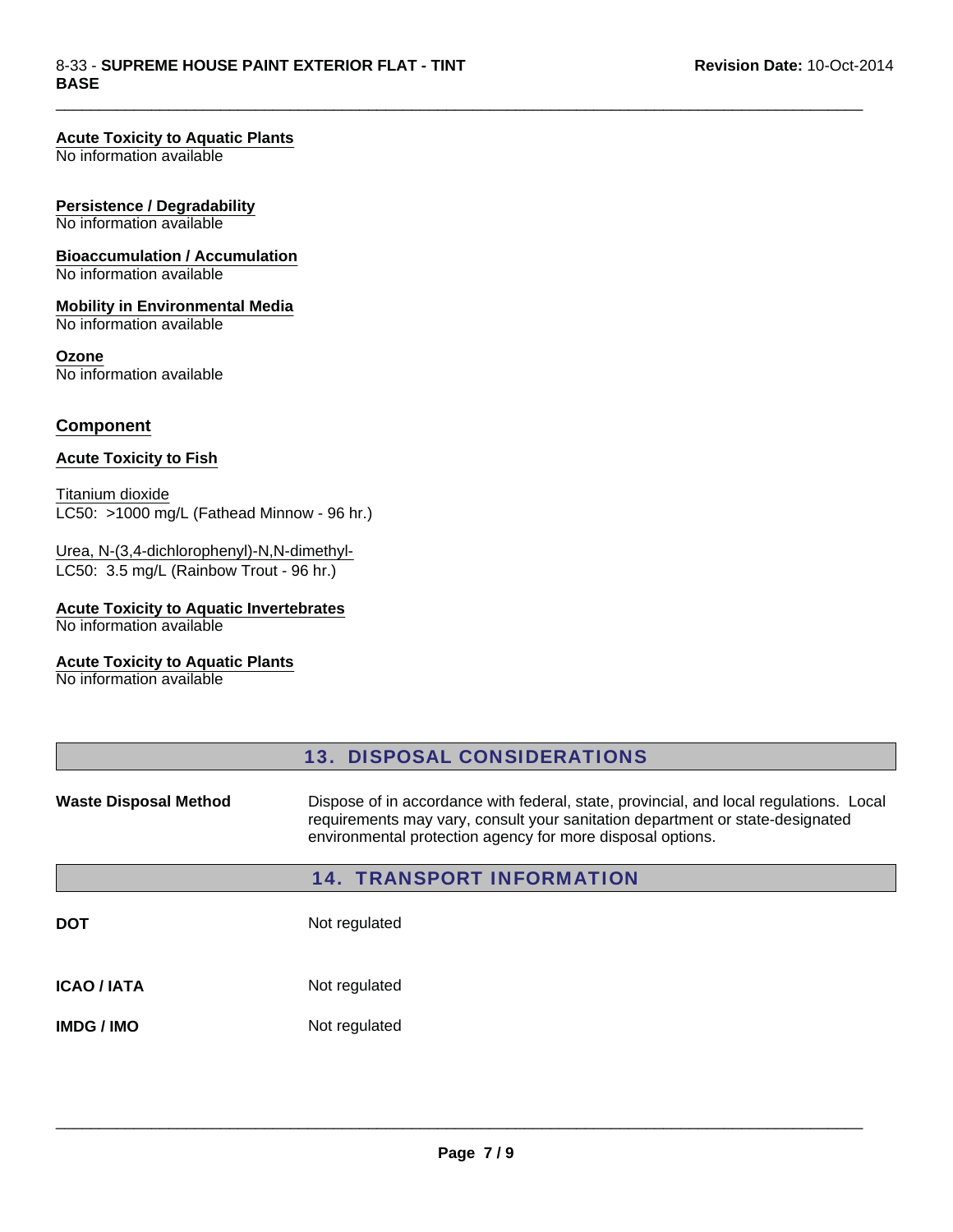#### **Acute Toxicity to Aquatic Plants**

No information available

#### **Persistence / Degradability**

No information available

# **Bioaccumulation / Accumulation**

No information available

#### **Mobility in Environmental Media** No information available

**Ozone** No information available

#### **Component**

#### **Acute Toxicity to Fish**

Titanium dioxide LC50: >1000 mg/L (Fathead Minnow - 96 hr.)

#### LC50: 3.5 mg/L (Rainbow Trout - 96 hr.) Urea, N-(3,4-dichlorophenyl)-N,N-dimethyl-

#### **Acute Toxicity to Aquatic Invertebrates**

No information available

### **Acute Toxicity to Aquatic Plants**

No information available

|                              | <b>13. DISPOSAL CONSIDERATIONS</b>                                                                                                                                                                                                    |
|------------------------------|---------------------------------------------------------------------------------------------------------------------------------------------------------------------------------------------------------------------------------------|
| <b>Waste Disposal Method</b> | Dispose of in accordance with federal, state, provincial, and local regulations. Local<br>requirements may vary, consult your sanitation department or state-designated<br>environmental protection agency for more disposal options. |
|                              | <b>14. TRANSPORT INFORMATION</b>                                                                                                                                                                                                      |
| <b>DOT</b>                   | Not regulated                                                                                                                                                                                                                         |
| <b>ICAO / IATA</b>           | Not regulated                                                                                                                                                                                                                         |
| <b>IMDG/IMO</b>              | Not regulated                                                                                                                                                                                                                         |

 $\Box$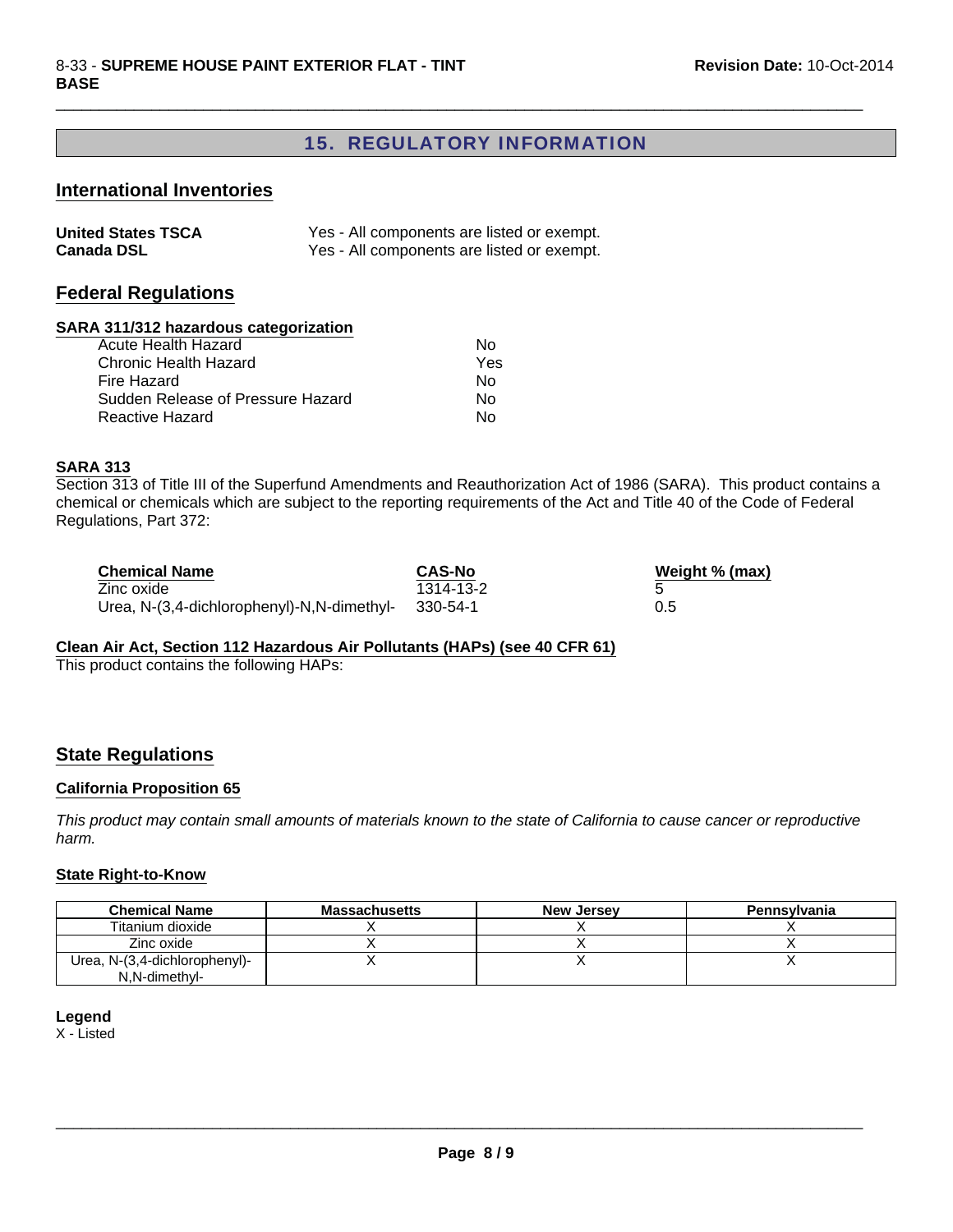### 15. REGULATORY INFORMATION

 $\Box$ 

#### **International Inventories**

| <b>United States TSCA</b> | Yes - All components are listed or exempt. |
|---------------------------|--------------------------------------------|
| <b>Canada DSL</b>         | Yes - All components are listed or exempt. |

### **Federal Regulations**

### **SARA 311/312 hazardous categorization**

| Acute Health Hazard               | N٥  |
|-----------------------------------|-----|
| Chronic Health Hazard             | Yes |
| Fire Hazard                       | N٥  |
| Sudden Release of Pressure Hazard | N٥  |
| Reactive Hazard                   | N٥  |
|                                   |     |

#### **SARA 313**

Section 313 of Title III of the Superfund Amendments and Reauthorization Act of 1986 (SARA). This product contains a chemical or chemicals which are subject to the reporting requirements of the Act and Title 40 of the Code of Federal Regulations, Part 372:

| <b>Chemical Name</b>                       | <b>CAS-No</b> | Weight % (max) |
|--------------------------------------------|---------------|----------------|
| Zinc oxide                                 | 1314-13-2     |                |
| Urea, N-(3,4-dichlorophenyl)-N,N-dimethyl- | - 330-54-1    | 0.5            |

#### **Clean Air Act, Section 112 Hazardous Air Pollutants (HAPs) (see 40 CFR 61)**

This product contains the following HAPs:

#### **State Regulations**

#### **California Proposition 65**

*This product may contain small amounts of materials known to the state of California to cause cancer or reproductive harm.*

#### **State Right-to-Know**

| <b>Chemical Name</b>                           | <b>Massachusetts</b> | <b>New Jersey</b> | <b>Pennsylvania</b> |
|------------------------------------------------|----------------------|-------------------|---------------------|
| Titanium dioxide                               |                      |                   |                     |
| Zinc oxide                                     |                      |                   |                     |
| Urea, N-(3,4-dichlorophenyl)-<br>N.N-dimethyl- |                      |                   |                     |

#### **Legend**

X - Listed